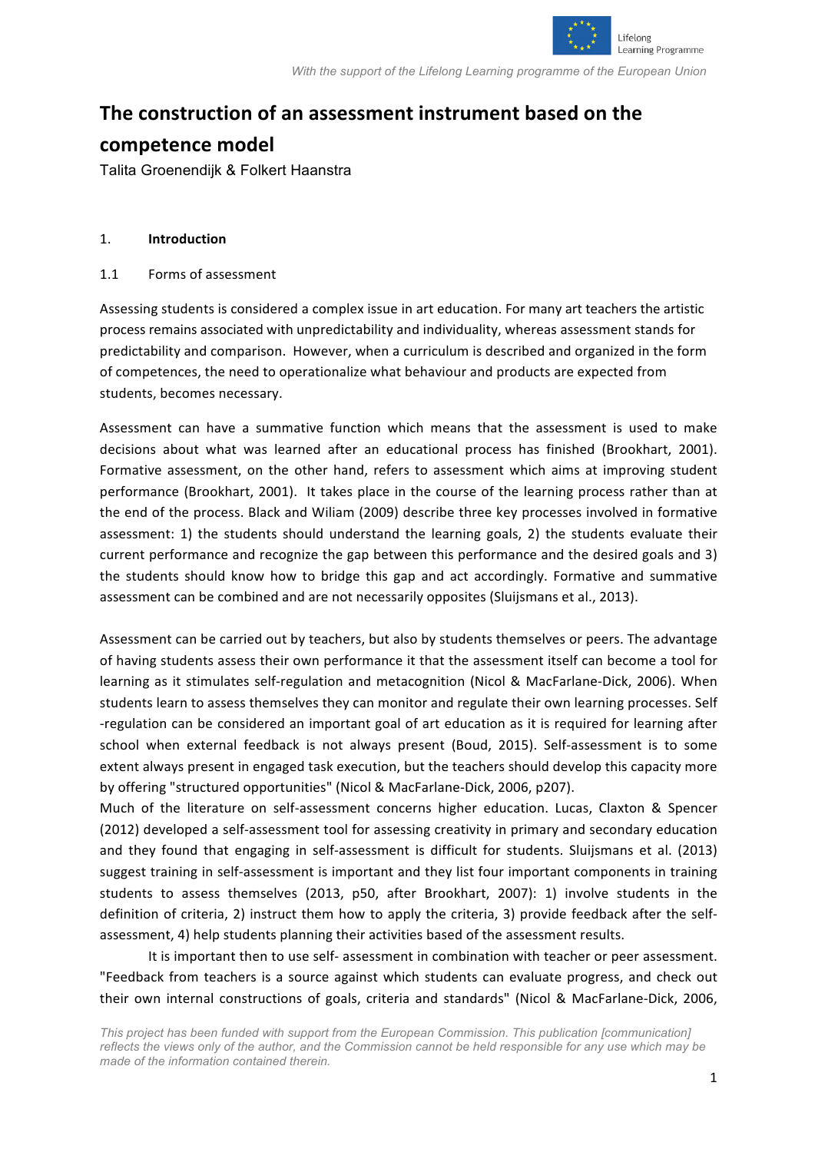

# **The construction of an assessment instrument based on the**

## **competence model**

Talita Groenendijk & Folkert Haanstra

#### 1. **Introduction**

#### 1.1 Forms of assessment

Assessing students is considered a complex issue in art education. For many art teachers the artistic process remains associated with unpredictability and individuality, whereas assessment stands for predictability and comparison. However, when a curriculum is described and organized in the form of competences, the need to operationalize what behaviour and products are expected from students, becomes necessary.

Assessment can have a summative function which means that the assessment is used to make decisions about what was learned after an educational process has finished (Brookhart, 2001). Formative assessment, on the other hand, refers to assessment which aims at improving student performance (Brookhart, 2001). It takes place in the course of the learning process rather than at the end of the process. Black and Wiliam (2009) describe three key processes involved in formative assessment: 1) the students should understand the learning goals, 2) the students evaluate their current performance and recognize the gap between this performance and the desired goals and 3) the students should know how to bridge this gap and act accordingly. Formative and summative assessment can be combined and are not necessarily opposites (Sluijsmans et al., 2013).

Assessment can be carried out by teachers, but also by students themselves or peers. The advantage of having students assess their own performance it that the assessment itself can become a tool for learning as it stimulates self-regulation and metacognition (Nicol & MacFarlane-Dick, 2006). When students learn to assess themselves they can monitor and regulate their own learning processes. Self -regulation can be considered an important goal of art education as it is required for learning after school when external feedback is not always present (Boud, 2015). Self-assessment is to some extent always present in engaged task execution, but the teachers should develop this capacity more by offering "structured opportunities" (Nicol & MacFarlane-Dick, 2006, p207).

Much of the literature on self-assessment concerns higher education. Lucas, Claxton & Spencer (2012) developed a self-assessment tool for assessing creativity in primary and secondary education and they found that engaging in self-assessment is difficult for students. Sluijsmans et al. (2013) suggest training in self-assessment is important and they list four important components in training students to assess themselves (2013, p50, after Brookhart, 2007): 1) involve students in the definition of criteria, 2) instruct them how to apply the criteria, 3) provide feedback after the selfassessment, 4) help students planning their activities based of the assessment results.

It is important then to use self- assessment in combination with teacher or peer assessment. "Feedback from teachers is a source against which students can evaluate progress, and check out their own internal constructions of goals, criteria and standards" (Nicol & MacFarlane-Dick, 2006,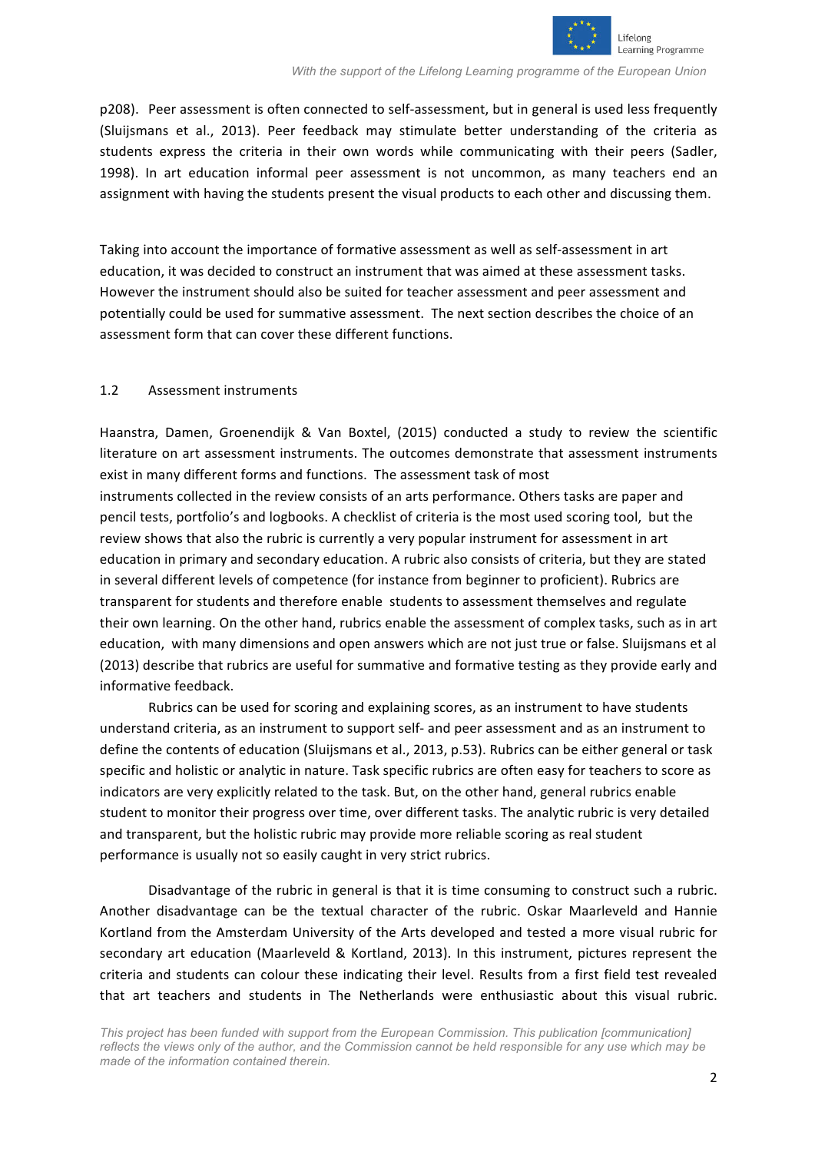

p208). Peer assessment is often connected to self-assessment, but in general is used less frequently (Sluijsmans et al., 2013). Peer feedback may stimulate better understanding of the criteria as students express the criteria in their own words while communicating with their peers (Sadler, 1998). In art education informal peer assessment is not uncommon, as many teachers end an assignment with having the students present the visual products to each other and discussing them.

Taking into account the importance of formative assessment as well as self-assessment in art education, it was decided to construct an instrument that was aimed at these assessment tasks. However the instrument should also be suited for teacher assessment and peer assessment and potentially could be used for summative assessment. The next section describes the choice of an assessment form that can cover these different functions.

#### 1.2 Assessment instruments

Haanstra, Damen, Groenendijk & Van Boxtel, (2015) conducted a study to review the scientific literature on art assessment instruments. The outcomes demonstrate that assessment instruments exist in many different forms and functions. The assessment task of most instruments collected in the review consists of an arts performance. Others tasks are paper and pencil tests, portfolio's and logbooks. A checklist of criteria is the most used scoring tool, but the review shows that also the rubric is currently a very popular instrument for assessment in art education in primary and secondary education. A rubric also consists of criteria, but they are stated in several different levels of competence (for instance from beginner to proficient). Rubrics are transparent for students and therefore enable students to assessment themselves and regulate their own learning. On the other hand, rubrics enable the assessment of complex tasks, such as in art education, with many dimensions and open answers which are not just true or false. Sluijsmans et al (2013) describe that rubrics are useful for summative and formative testing as they provide early and informative feedback.

Rubrics can be used for scoring and explaining scores, as an instrument to have students understand criteria, as an instrument to support self- and peer assessment and as an instrument to define the contents of education (Sluijsmans et al., 2013, p.53). Rubrics can be either general or task specific and holistic or analytic in nature. Task specific rubrics are often easy for teachers to score as indicators are very explicitly related to the task. But, on the other hand, general rubrics enable student to monitor their progress over time, over different tasks. The analytic rubric is very detailed and transparent, but the holistic rubric may provide more reliable scoring as real student performance is usually not so easily caught in very strict rubrics.

Disadvantage of the rubric in general is that it is time consuming to construct such a rubric. Another disadvantage can be the textual character of the rubric. Oskar Maarleveld and Hannie Kortland from the Amsterdam University of the Arts developed and tested a more visual rubric for secondary art education (Maarleveld & Kortland, 2013). In this instrument, pictures represent the criteria and students can colour these indicating their level. Results from a first field test revealed that art teachers and students in The Netherlands were enthusiastic about this visual rubric.

*This project has been funded with support from the European Commission. This publication [communication] reflects the views only of the author, and the Commission cannot be held responsible for any use which may be made of the information contained therein.*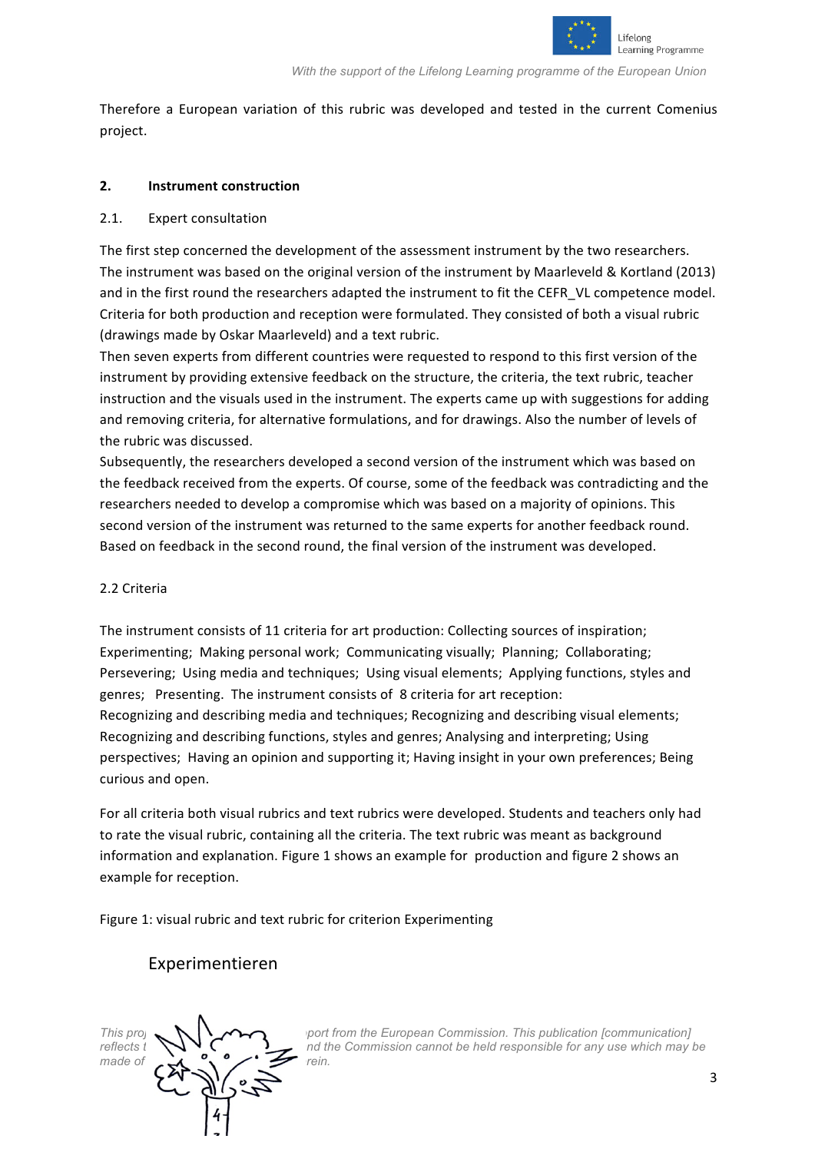

Therefore a European variation of this rubric was developed and tested in the current Comenius project.

#### **2. Instrument construction**

#### 2.1. Expert consultation

The first step concerned the development of the assessment instrument by the two researchers. The instrument was based on the original version of the instrument by Maarleveld & Kortland (2013) and in the first round the researchers adapted the instrument to fit the CEFR VL competence model. Criteria for both production and reception were formulated. They consisted of both a visual rubric (drawings made by Oskar Maarleveld) and a text rubric.

Then seven experts from different countries were requested to respond to this first version of the instrument by providing extensive feedback on the structure, the criteria, the text rubric, teacher instruction and the visuals used in the instrument. The experts came up with suggestions for adding and removing criteria, for alternative formulations, and for drawings. Also the number of levels of the rubric was discussed.

Subsequently, the researchers developed a second version of the instrument which was based on the feedback received from the experts. Of course, some of the feedback was contradicting and the researchers needed to develop a compromise which was based on a majority of opinions. This second version of the instrument was returned to the same experts for another feedback round. Based on feedback in the second round, the final version of the instrument was developed.

#### 2.2 Criteria

The instrument consists of 11 criteria for art production: Collecting sources of inspiration; Experimenting: Making personal work: Communicating visually: Planning: Collaborating: Persevering; Using media and techniques; Using visual elements; Applying functions, styles and genres; Presenting. The instrument consists of 8 criteria for art reception: Recognizing and describing media and techniques; Recognizing and describing visual elements; Recognizing and describing functions, styles and genres; Analysing and interpreting; Using perspectives; Having an opinion and supporting it; Having insight in your own preferences; Being curious and open.

For all criteria both visual rubrics and text rubrics were developed. Students and teachers only had to rate the visual rubric, containing all the criteria. The text rubric was meant as background information and explanation. Figure 1 shows an example for production and figure 2 shows an example for reception.

Figure 1: visual rubric and text rubric for criterion Experimenting

### Experimentieren



*This project has been funded with support from the European Commission. This publication [communication] reflects t*  $\bigvee$   $\vee$   $\bigvee$   $\bigvee$   $\bigvee$  *nd the Commission cannot be held responsible for any use which may be*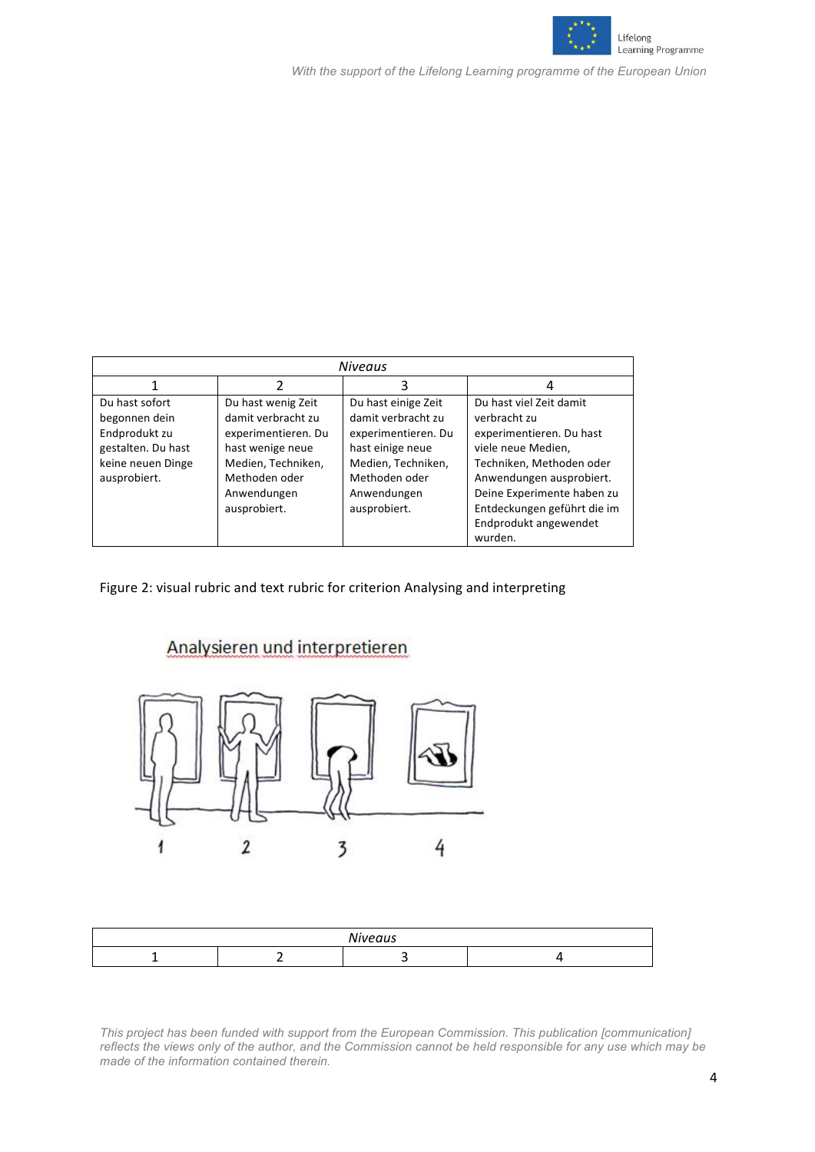

| <b>Niveaus</b>                                                                                              |                                                                                                                                                           |                                                                                                                                                            |                                                                                                                                                                                                                                                    |
|-------------------------------------------------------------------------------------------------------------|-----------------------------------------------------------------------------------------------------------------------------------------------------------|------------------------------------------------------------------------------------------------------------------------------------------------------------|----------------------------------------------------------------------------------------------------------------------------------------------------------------------------------------------------------------------------------------------------|
|                                                                                                             |                                                                                                                                                           | 3                                                                                                                                                          | 4                                                                                                                                                                                                                                                  |
| Du hast sofort<br>begonnen dein<br>Endprodukt zu<br>gestalten. Du hast<br>keine neuen Dinge<br>ausprobiert. | Du hast wenig Zeit<br>damit verbracht zu<br>experimentieren. Du<br>hast wenige neue<br>Medien, Techniken,<br>Methoden oder<br>Anwendungen<br>ausprobiert. | Du hast einige Zeit<br>damit verbracht zu<br>experimentieren. Du<br>hast einige neue<br>Medien, Techniken,<br>Methoden oder<br>Anwendungen<br>ausprobiert. | Du hast viel Zeit damit<br>verbracht zu<br>experimentieren. Du hast<br>viele neue Medien,<br>Techniken, Methoden oder<br>Anwendungen ausprobiert.<br>Deine Experimente haben zu<br>Entdeckungen geführt die im<br>Endprodukt angewendet<br>wurden. |

Figure 2: visual rubric and text rubric for criterion Analysing and interpreting



Analysieren und interpretieren

| uus -<br>. |  |  |  |
|------------|--|--|--|
|            |  |  |  |

*This project has been funded with support from the European Commission. This publication [communication] reflects the views only of the author, and the Commission cannot be held responsible for any use which may be reflects the views only of the author, and the Commission cannot be held responsible for any use which may be made of the information contained therein.*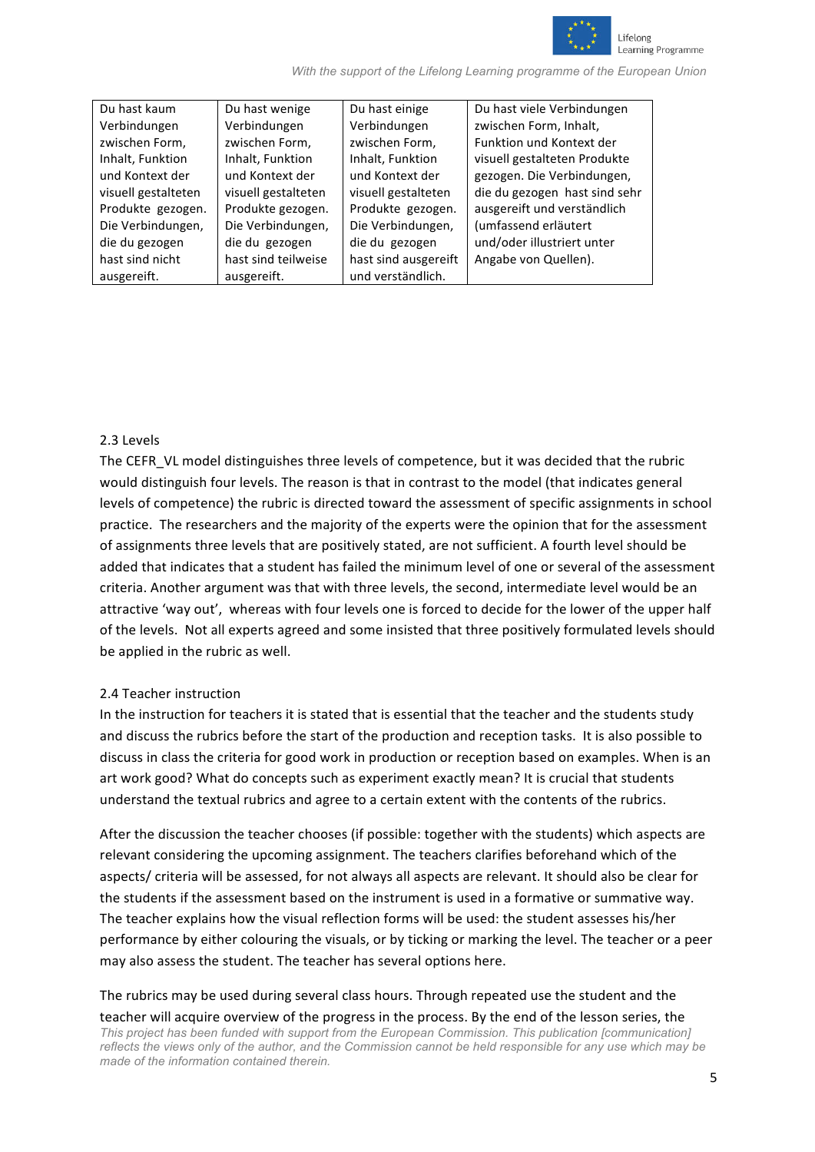

| Du hast kaum        | Du hast wenige      | Du hast einige       | Du hast viele Verbindungen    |
|---------------------|---------------------|----------------------|-------------------------------|
| Verbindungen        | Verbindungen        | Verbindungen         | zwischen Form, Inhalt,        |
| zwischen Form,      | zwischen Form,      | zwischen Form,       | Funktion und Kontext der      |
| Inhalt, Funktion    | Inhalt, Funktion    | Inhalt, Funktion     | visuell gestalteten Produkte  |
| und Kontext der     | und Kontext der     | und Kontext der      | gezogen. Die Verbindungen,    |
| visuell gestalteten | visuell gestalteten | visuell gestalteten  | die du gezogen hast sind sehr |
| Produkte gezogen.   | Produkte gezogen.   | Produkte gezogen.    | ausgereift und verständlich   |
| Die Verbindungen,   | Die Verbindungen,   | Die Verbindungen,    | (umfassend erläutert          |
| die du gezogen      | die du gezogen      | die du gezogen       | und/oder illustriert unter    |
| hast sind nicht     | hast sind teilweise | hast sind ausgereift | Angabe von Quellen).          |
| ausgereift.         | ausgereift.         | und verständlich.    |                               |

#### 2.3 Levels

The CEFR, VL model distinguishes three levels of competence, but it was decided that the rubric would distinguish four levels. The reason is that in contrast to the model (that indicates general levels of competence) the rubric is directed toward the assessment of specific assignments in school practice. The researchers and the majority of the experts were the opinion that for the assessment of assignments three levels that are positively stated, are not sufficient. A fourth level should be added that indicates that a student has failed the minimum level of one or several of the assessment criteria. Another argument was that with three levels, the second, intermediate level would be an attractive 'way out', whereas with four levels one is forced to decide for the lower of the upper half of the levels. Not all experts agreed and some insisted that three positively formulated levels should be applied in the rubric as well.

#### 2.4 Teacher instruction

In the instruction for teachers it is stated that is essential that the teacher and the students study and discuss the rubrics before the start of the production and reception tasks. It is also possible to discuss in class the criteria for good work in production or reception based on examples. When is an art work good? What do concepts such as experiment exactly mean? It is crucial that students understand the textual rubrics and agree to a certain extent with the contents of the rubrics.

After the discussion the teacher chooses (if possible: together with the students) which aspects are relevant considering the upcoming assignment. The teachers clarifies beforehand which of the aspects/ criteria will be assessed, for not always all aspects are relevant. It should also be clear for the students if the assessment based on the instrument is used in a formative or summative way. The teacher explains how the visual reflection forms will be used: the student assesses his/her performance by either colouring the visuals, or by ticking or marking the level. The teacher or a peer may also assess the student. The teacher has several options here.

*This project has been funded with support from the European Commission. This publication [communication] reflects the views only of the author, and the Commission cannot be held responsible for any use which may be made of the information contained therein.* The rubrics may be used during several class hours. Through repeated use the student and the teacher will acquire overview of the progress in the process. By the end of the lesson series, the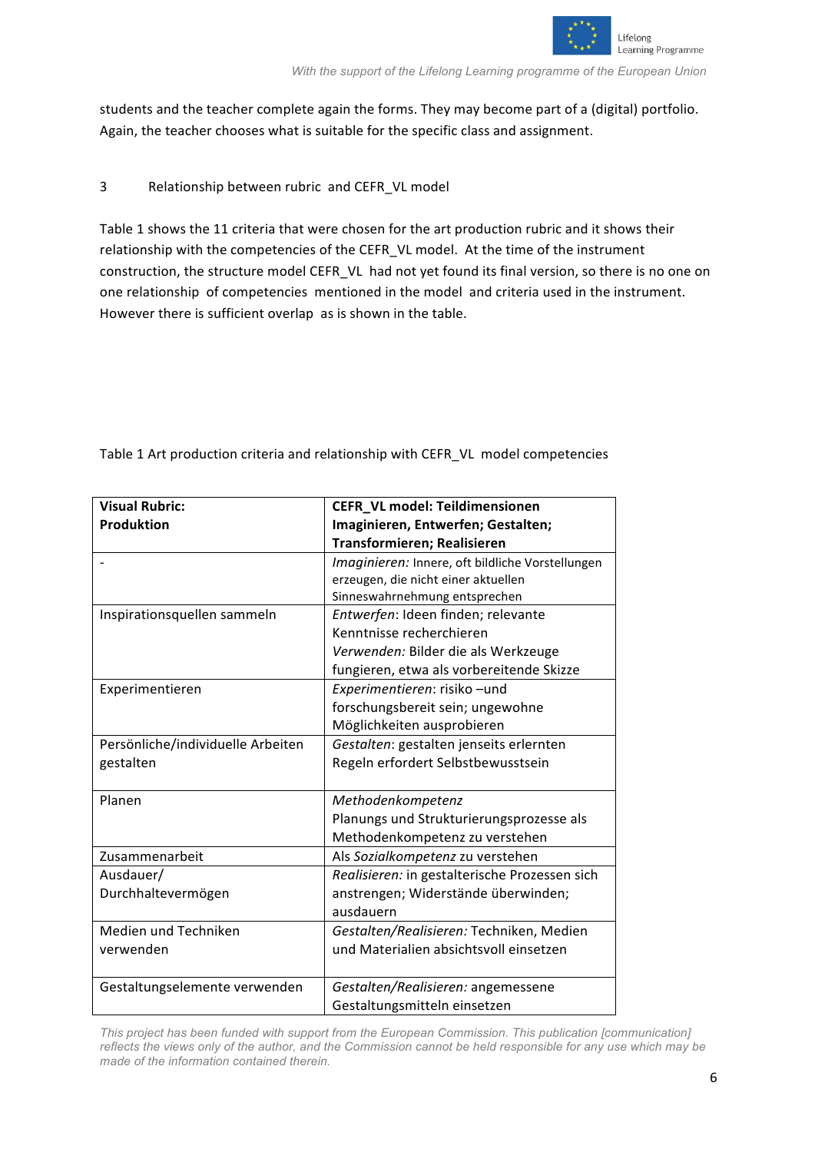

students and the teacher complete again the forms. They may become part of a (digital) portfolio. Again, the teacher chooses what is suitable for the specific class and assignment.

#### 3 Relationship between rubric and CEFR\_VL model

Table 1 shows the 11 criteria that were chosen for the art production rubric and it shows their relationship with the competencies of the CEFR VL model. At the time of the instrument construction, the structure model CEFR\_VL\_ had not yet found its final version, so there is no one on one relationship of competencies mentioned in the model and criteria used in the instrument. However there is sufficient overlap as is shown in the table.

| <b>Visual Rubric:</b>             | <b>CEFR_VL model: Teildimensionen</b>            |
|-----------------------------------|--------------------------------------------------|
| <b>Produktion</b>                 | Imaginieren, Entwerfen; Gestalten;               |
|                                   | Transformieren; Realisieren                      |
|                                   | Imaginieren: Innere, oft bildliche Vorstellungen |
|                                   | erzeugen, die nicht einer aktuellen              |
|                                   | Sinneswahrnehmung entsprechen                    |
| Inspirationsquellen sammeln       | Entwerfen: Ideen finden; relevante               |
|                                   | Kenntnisse recherchieren                         |
|                                   | Verwenden: Bilder die als Werkzeuge              |
|                                   | fungieren, etwa als vorbereitende Skizze         |
| Experimentieren                   | Experimentieren: risiko-und                      |
|                                   | forschungsbereit sein; ungewohne                 |
|                                   | Möglichkeiten ausprobieren                       |
| Persönliche/individuelle Arbeiten | Gestalten: gestalten jenseits erlernten          |
| gestalten                         | Regeln erfordert Selbstbewusstsein               |
|                                   |                                                  |
| Planen                            | Methodenkompetenz                                |
|                                   | Planungs und Strukturierungsprozesse als         |
|                                   | Methodenkompetenz zu verstehen                   |
| Zusammenarbeit                    | Als Sozialkompetenz zu verstehen                 |
| Ausdauer/                         | Realisieren: in gestalterische Prozessen sich    |
| Durchhaltevermögen                | anstrengen; Widerstände überwinden;              |
|                                   | ausdauern                                        |
| Medien und Techniken              | Gestalten/Realisieren: Techniken, Medien         |
| verwenden                         | und Materialien absichtsvoll einsetzen           |
|                                   |                                                  |
| Gestaltungselemente verwenden     | Gestalten/Realisieren: angemessene               |
|                                   | Gestaltungsmitteln einsetzen                     |

Table 1 Art production criteria and relationship with CEFR\_VL model competencies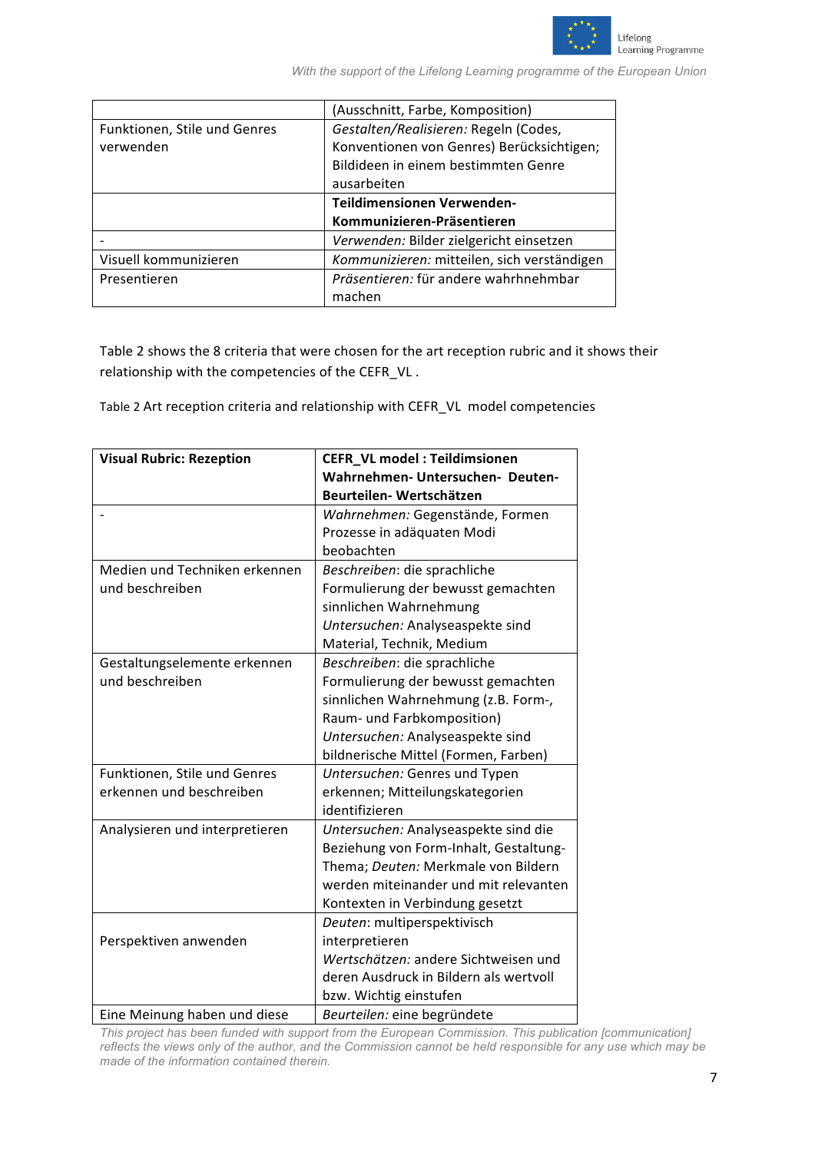

|                              | (Ausschnitt, Farbe, Komposition)            |
|------------------------------|---------------------------------------------|
| Funktionen, Stile und Genres | Gestalten/Realisieren: Regeln (Codes,       |
| verwenden                    | Konventionen von Genres) Berücksichtigen;   |
|                              | Bildideen in einem bestimmten Genre         |
|                              | ausarbeiten                                 |
|                              | Teildimensionen Verwenden-                  |
|                              | Kommunizieren-Präsentieren                  |
|                              | Verwenden: Bilder zielgericht einsetzen     |
| Visuell kommunizieren        | Kommunizieren: mitteilen, sich verständigen |
| Presentieren                 | Präsentieren: für andere wahrhnehmbar       |
|                              | machen                                      |

Table 2 shows the 8 criteria that were chosen for the art reception rubric and it shows their relationship with the competencies of the CEFR\_VL.

Table 2 Art reception criteria and relationship with CEFR\_VL model competencies

| <b>Visual Rubric: Rezeption</b> | CEFR_VL model: Teildimsionen           |
|---------------------------------|----------------------------------------|
|                                 | Wahrnehmen- Untersuchen- Deuten-       |
|                                 | Beurteilen- Wertschätzen               |
|                                 | Wahrnehmen: Gegenstände, Formen        |
|                                 | Prozesse in adäquaten Modi             |
|                                 | beobachten                             |
| Medien und Techniken erkennen   | Beschreiben: die sprachliche           |
| und beschreiben                 | Formulierung der bewusst gemachten     |
|                                 | sinnlichen Wahrnehmung                 |
|                                 | Untersuchen: Analyseaspekte sind       |
|                                 | Material, Technik, Medium              |
| Gestaltungselemente erkennen    | Beschreiben: die sprachliche           |
| und beschreiben                 | Formulierung der bewusst gemachten     |
|                                 | sinnlichen Wahrnehmung (z.B. Form-,    |
|                                 | Raum- und Farbkomposition)             |
|                                 | Untersuchen: Analyseaspekte sind       |
|                                 | bildnerische Mittel (Formen, Farben)   |
| Funktionen, Stile und Genres    | Untersuchen: Genres und Typen          |
| erkennen und beschreiben        | erkennen; Mitteilungskategorien        |
|                                 | identifizieren                         |
| Analysieren und interpretieren  | Untersuchen: Analyseaspekte sind die   |
|                                 | Beziehung von Form-Inhalt, Gestaltung- |
|                                 | Thema; Deuten: Merkmale von Bildern    |
|                                 | werden miteinander und mit relevanten  |
|                                 | Kontexten in Verbindung gesetzt        |
|                                 | Deuten: multiperspektivisch            |
| Perspektiven anwenden           | interpretieren                         |
|                                 | Wertschätzen: andere Sichtweisen und   |
|                                 | deren Ausdruck in Bildern als wertvoll |
|                                 | bzw. Wichtig einstufen                 |
| Eine Meinung haben und diese    | Beurteilen: eine begründete            |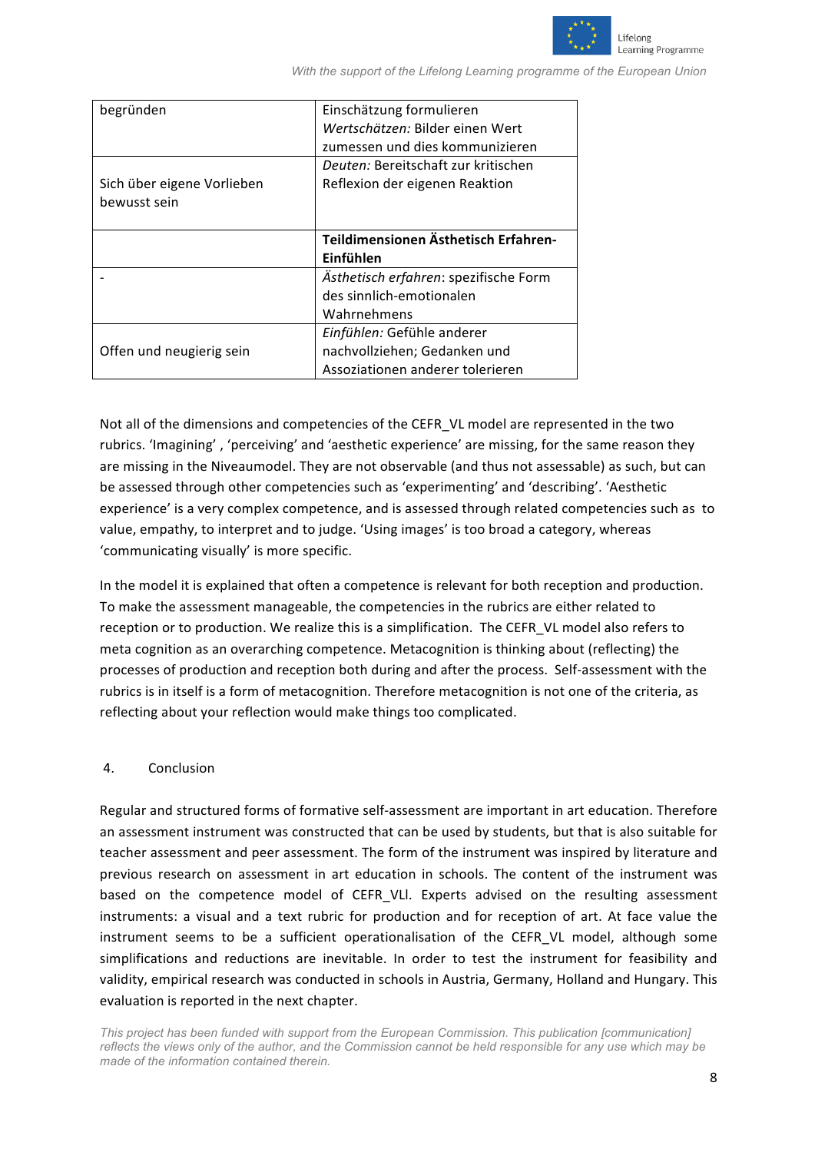

| begründen                  | Einschätzung formulieren              |
|----------------------------|---------------------------------------|
|                            | Wertschätzen: Bilder einen Wert       |
|                            | zumessen und dies kommunizieren       |
|                            | Deuten: Bereitschaft zur kritischen   |
| Sich über eigene Vorlieben | Reflexion der eigenen Reaktion        |
| bewusst sein               |                                       |
|                            |                                       |
|                            | Teildimensionen Ästhetisch Erfahren-  |
|                            | Einfühlen                             |
|                            | Ästhetisch erfahren: spezifische Form |
|                            | des sinnlich-emotionalen              |
|                            | Wahrnehmens                           |
|                            | Einfühlen: Gefühle anderer            |
| Offen und neugierig sein   | nachvollziehen; Gedanken und          |
|                            | Assoziationen anderer tolerieren      |

Not all of the dimensions and competencies of the CEFR\_VL model are represented in the two rubrics. 'Imagining', 'perceiving' and 'aesthetic experience' are missing, for the same reason they are missing in the Niveaumodel. They are not observable (and thus not assessable) as such, but can be assessed through other competencies such as 'experimenting' and 'describing'. 'Aesthetic experience' is a very complex competence, and is assessed through related competencies such as to value, empathy, to interpret and to judge. 'Using images' is too broad a category, whereas 'communicating visually' is more specific.

In the model it is explained that often a competence is relevant for both reception and production. To make the assessment manageable, the competencies in the rubrics are either related to reception or to production. We realize this is a simplification. The CEFR\_VL model also refers to meta cognition as an overarching competence. Metacognition is thinking about (reflecting) the processes of production and reception both during and after the process. Self-assessment with the rubrics is in itself is a form of metacognition. Therefore metacognition is not one of the criteria, as reflecting about your reflection would make things too complicated.

#### 4. Conclusion

Regular and structured forms of formative self-assessment are important in art education. Therefore an assessment instrument was constructed that can be used by students, but that is also suitable for teacher assessment and peer assessment. The form of the instrument was inspired by literature and previous research on assessment in art education in schools. The content of the instrument was based on the competence model of CEFR VLI. Experts advised on the resulting assessment instruments: a visual and a text rubric for production and for reception of art. At face value the instrument seems to be a sufficient operationalisation of the CEFR VL model, although some simplifications and reductions are inevitable. In order to test the instrument for feasibility and validity, empirical research was conducted in schools in Austria, Germany, Holland and Hungary. This evaluation is reported in the next chapter.